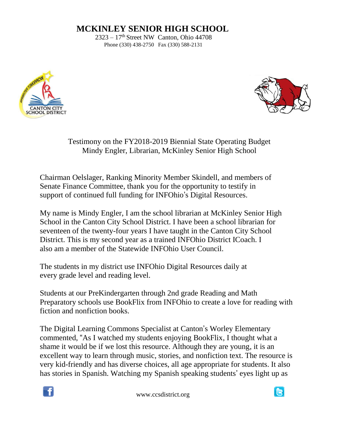## **MCKINLEY SENIOR HIGH SCHOOL**

 $2323 - 17$ <sup>th</sup> Street NW Canton, Ohio 44708 Phone (330) 438-2750 Fax (330) 588-2131





Testimony on the FY2018-2019 Biennial State Operating Budget Mindy Engler, Librarian, McKinley Senior High School

Chairman Oelslager, Ranking Minority Member Skindell, and members of Senate Finance Committee, thank you for the opportunity to testify in support of continued full funding for INFOhio's Digital Resources.

My name is Mindy Engler, I am the school librarian at McKinley Senior High School in the Canton City School District. I have been a school librarian for seventeen of the twenty-four years I have taught in the Canton City School District. This is my second year as a trained INFOhio District ICoach. I also am a member of the Statewide INFOhio User Council.

The students in my district use INFOhio Digital Resources daily at every grade level and reading level.

Students at our PreKindergarten through 2nd grade Reading and Math Preparatory schools use BookFlix from INFOhio to create a love for reading with fiction and nonfiction books.

The Digital Learning Commons Specialist at Canton's Worley Elementary commented, "As I watched my students enjoying BookFlix, I thought what a shame it would be if we lost this resource. Although they are young, it is an excellent way to learn through music, stories, and nonfiction text. The resource is very kid-friendly and has diverse choices, all age appropriate for students. It also has stories in Spanish. Watching my Spanish speaking students' eyes light up as



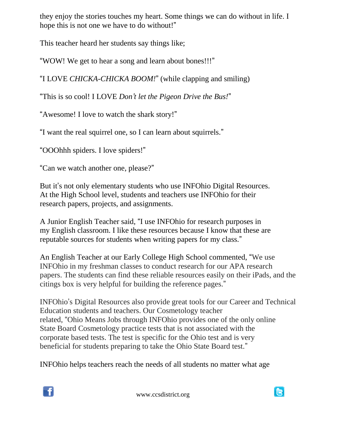they enjoy the stories touches my heart. Some things we can do without in life. I hope this is not one we have to do without!"

This teacher heard her students say things like;

"WOW! We get to hear a song and learn about bones!!!"

"I LOVE *CHICKA-CHICKA BOOM!*" (while clapping and smiling)

"This is so cool! I LOVE *Don't let the Pigeon Drive the Bus!*"

"Awesome! I love to watch the shark story!"

"I want the real squirrel one, so I can learn about squirrels."

"OOOhhh spiders. I love spiders!"

"Can we watch another one, please?"

But it's not only elementary students who use INFOhio Digital Resources. At the High School level, students and teachers use INFOhio for their research papers, projects, and assignments.

A Junior English Teacher said, "I use INFOhio for research purposes in my English classroom. I like these resources because I know that these are reputable sources for students when writing papers for my class."

An English Teacher at our Early College High School commented, "We use INFOhio in my freshman classes to conduct research for our APA research papers. The students can find these reliable resources easily on their iPads, and the citings box is very helpful for building the reference pages."

INFOhio's Digital Resources also provide great tools for our Career and Technical Education students and teachers. Our Cosmetology teacher related, "Ohio Means Jobs through INFOhio provides one of the only online State Board Cosmetology practice tests that is not associated with the corporate based tests. The test is specific for the Ohio test and is very beneficial for students preparing to take the Ohio State Board test."

INFOhio helps teachers reach the needs of all students no matter what age